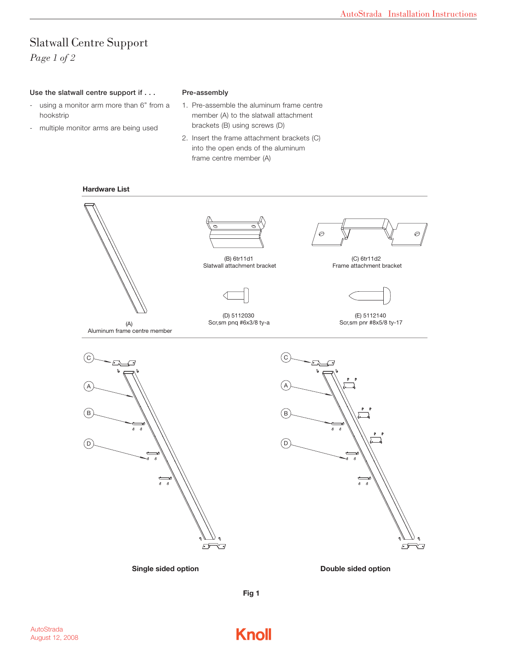## Slatwall Centre Support *Page 1 of 2*

### Use the slatwall centre support if . . .

- using a monitor arm more than 6" from a hookstrip
- multiple monitor arms are being used

## Pre-assembly

- 1. Pre-assemble the aluminum frame centre member (A) to the slatwall attachment brackets (B) using screws (D)
- 2. Insert the frame attachment brackets (C) into the open ends of the aluminum frame centre member (A)

#### **Hardware List**





(B) 6tr11d1 Slatwall attachment bracket



(D) 5112030 Scr,sm pnq #6x3/8 ty-a



(C) 6tr11d2 Frame attachment bracket



(E) 5112140 Scr,sm pnr #8x5/8 ty-17

(A) Aluminum frame centre member







**Fig 1**

**Knoll**